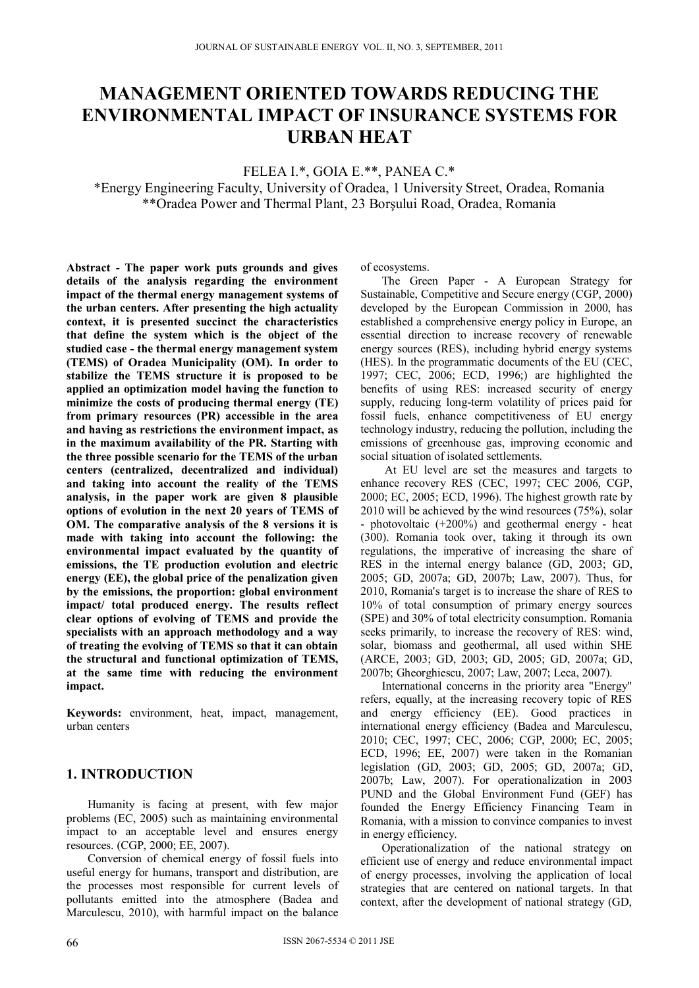# **MANAGEMENT ORIENTED TOWARDS REDUCING THE ENVIRONMENTAL IMPACT OF INSURANCE SYSTEMS FOR URBAN HEAT**

FELEA I.\*, GOIA E.\*\*, PANEA C.\*

\*Energy Engineering Faculty, University of Oradea, 1 University Street, Oradea, Romania \*\*Oradea Power and Thermal Plant, 23 Borşului Road, Oradea, Romania

**Abstract - The paper work puts grounds and gives details of the analysis regarding the environment impact of the thermal energy management systems of the urban centers. After presenting the high actuality context, it is presented succinct the characteristics that define the system which is the object of the studied case - the thermal energy management system (TEMS) of Oradea Municipality (OM). In order to stabilize the TEMS structure it is proposed to be applied an optimization model having the function to minimize the costs of producing thermal energy (TE) from primary resources (PR) accessible in the area and having as restrictions the environment impact, as in the maximum availability of the PR. Starting with the three possible scenario for the TEMS of the urban centers (centralized, decentralized and individual) and taking into account the reality of the TEMS analysis, in the paper work are given 8 plausible options of evolution in the next 20 years of TEMS of OM. The comparative analysis of the 8 versions it is made with taking into account the following: the environmental impact evaluated by the quantity of emissions, the TE production evolution and electric energy (EE), the global price of the penalization given by the emissions, the proportion: global environment impact/ total produced energy. The results reflect clear options of evolving of TEMS and provide the specialists with an approach methodology and a way of treating the evolving of TEMS so that it can obtain the structural and functional optimization of TEMS, at the same time with reducing the environment impact.** 

**Keywords:** environment, heat, impact, management, urban centers

# **1. INTRODUCTION**

Humanity is facing at present, with few major problems (EC, 2005) such as maintaining environmental impact to an acceptable level and ensures energy resources. (CGP, 2000; EE, 2007).

Conversion of chemical energy of fossil fuels into useful energy for humans, transport and distribution, are the processes most responsible for current levels of pollutants emitted into the atmosphere (Badea and Marculescu, 2010), with harmful impact on the balance

of ecosystems.

The Green Paper - A European Strategy for Sustainable, Competitive and Secure energy (CGP, 2000) developed by the European Commission in 2000, has established a comprehensive energy policy in Europe, an essential direction to increase recovery of renewable energy sources (RES), including hybrid energy systems (HES). In the programmatic documents of the EU (CEC, 1997; CEC, 2006; ECD, 1996;) are highlighted the benefits of using RES: increased security of energy supply, reducing long-term volatility of prices paid for fossil fuels, enhance competitiveness of EU energy technology industry, reducing the pollution, including the emissions of greenhouse gas, improving economic and social situation of isolated settlements.

 At EU level are set the measures and targets to enhance recovery RES (CEC, 1997; CEC 2006, CGP, 2000; EC, 2005; ECD, 1996). The highest growth rate by 2010 will be achieved by the wind resources (75%), solar - photovoltaic (+200%) and geothermal energy - heat (300). Romania took over, taking it through its own regulations, the imperative of increasing the share of RES in the internal energy balance (GD, 2003; GD, 2005; GD, 2007a; GD, 2007b; Law, 2007). Thus, for 2010, Romania's target is to increase the share of RES to 10% of total consumption of primary energy sources (SPE) and 30% of total electricity consumption. Romania seeks primarily, to increase the recovery of RES: wind, solar, biomass and geothermal, all used within SHE (ARCE, 2003; GD, 2003; GD, 2005; GD, 2007a; GD, 2007b; Gheorghiescu, 2007; Law, 2007; Leca, 2007).

International concerns in the priority area "Energy" refers, equally, at the increasing recovery topic of RES and energy efficiency (EE). Good practices in international energy efficiency (Badea and Marculescu, 2010; CEC, 1997; CEC, 2006; CGP, 2000; EC, 2005; ECD, 1996; EE, 2007) were taken in the Romanian legislation (GD, 2003; GD, 2005; GD, 2007a; GD, 2007b; Law, 2007). For operationalization in 2003 PUND and the Global Environment Fund (GEF) has founded the Energy Efficiency Financing Team in Romania, with a mission to convince companies to invest in energy efficiency.

Operationalization of the national strategy on efficient use of energy and reduce environmental impact of energy processes, involving the application of local strategies that are centered on national targets. In that context, after the development of national strategy (GD,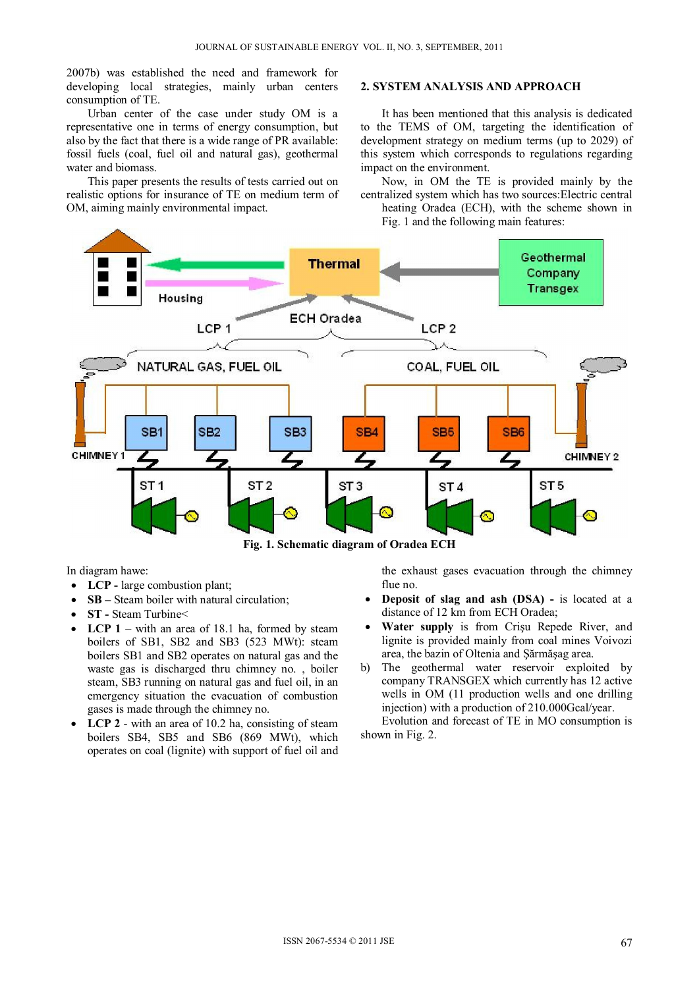2007b) was established the need and framework for developing local strategies, mainly urban centers consumption of TE.

Urban center of the case under study OM is a representative one in terms of energy consumption, but also by the fact that there is a wide range of PR available: fossil fuels (coal, fuel oil and natural gas), geothermal water and biomass.

This paper presents the results of tests carried out on realistic options for insurance of TE on medium term of OM, aiming mainly environmental impact.

#### **2. SYSTEM ANALYSIS AND APPROACH**

It has been mentioned that this analysis is dedicated to the TEMS of OM, targeting the identification of development strategy on medium terms (up to 2029) of this system which corresponds to regulations regarding impact on the environment.

Now, in OM the TE is provided mainly by the centralized system which has two sources:Electric central heating Oradea (ECH), with the scheme shown in Fig. 1 and the following main features:



In diagram hawe:

- **LCP** large combustion plant;
- **SB** Steam boiler with natural circulation;
- **ST** Steam Turbine
- **LCP 1** with an area of 18.1 ha, formed by steam boilers of SB1, SB2 and SB3 (523 MWt): steam boilers SB1 and SB2 operates on natural gas and the waste gas is discharged thru chimney no. , boiler steam, SB3 running on natural gas and fuel oil, in an emergency situation the evacuation of combustion gases is made through the chimney no.
- **LCP 2** with an area of 10.2 ha, consisting of steam boilers SB4, SB5 and SB6 (869 MWt), which operates on coal (lignite) with support of fuel oil and

the exhaust gases evacuation through the chimney flue no.

- **Deposit of slag and ash (DSA) -** is located at a distance of 12 km from ECH Oradea;
- **Water supply** is from Crişu Repede River, and lignite is provided mainly from coal mines Voivozi area, the bazin of Oltenia and Şărmăşag area.
- b) The geothermal water reservoir exploited by company TRANSGEX which currently has 12 active wells in OM (11 production wells and one drilling injection) with a production of 210.000Gcal/year.

Evolution and forecast of TE in MO consumption is shown in Fig. 2.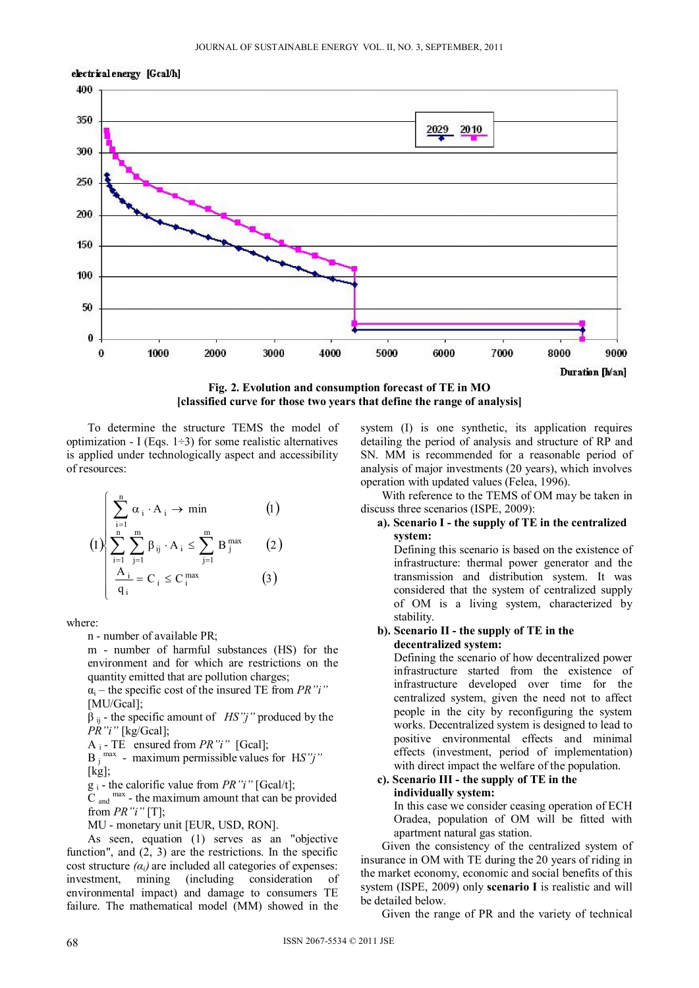

**Fig. 2. Evolution and consumption forecast of TE in MO [classified curve for those two years that define the range of analysis]** 

To determine the structure TEMS the model of optimization - I (Eqs. 1–3) for some realistic alternatives is applied under technologically aspect and accessibility of resources:

$$
(1)
$$
\n
$$
\sum_{i=1}^{n} \alpha_i \cdot A_i \to \min
$$
\n
$$
(1)
$$
\n
$$
\sum_{i=1}^{n} \sum_{j=1}^{m} \beta_{ij} \cdot A_i \leq \sum_{j=1}^{m} B_j^{\max}
$$
\n
$$
\frac{A_i}{q_i} = C_i \leq C_i^{\max}
$$
\n
$$
(3)
$$

where:

n - number of available PR;

m - number of harmful substances (HS) for the environment and for which are restrictions on the quantity emitted that are pollution charges;

 $\alpha_i$  – the specific cost of the insured TE from *PR*"*i*" [MU/Gcal];

 $\beta$ <sub>ii</sub> - the specific amount of *HS"j"* produced by the *PR"i"* [kg/Gcal];

A i - TE ensured from *PR"i"* [Gcal];

 $B_j$ <sup>max</sup> - maximum permissible values for HS"j"  $[kg]$ ;

g i - the calorific value from *PR"i"* [Gcal/t];

 $\overline{C}$  and  $\overline{C}$  and  $\overline{C}$  and  $\overline{C}$  and  $\overline{C}$  and  $\overline{C}$  and  $\overline{C}$  and  $\overline{C}$  and  $\overline{C}$  and  $\overline{C}$  and  $\overline{C}$  and  $\overline{C}$  and  $\overline{C}$  and  $\overline{C}$  and  $\overline{C}$  and  $\overline{C}$  and  $\overline{C}$  and from *PR"i"* [T];

MU - monetary unit [EUR, USD, RON].

As seen, equation (1) serves as an "objective function", and (2, 3) are the restrictions. In the specific cost structure  $(a_i)$  are included all categories of expenses: investment, mining (including consideration of environmental impact) and damage to consumers TE failure. The mathematical model (MM) showed in the

system (I) is one synthetic, its application requires detailing the period of analysis and structure of RP and SN. MM is recommended for a reasonable period of analysis of major investments (20 years), which involves operation with updated values (Felea, 1996).

With reference to the TEMS of OM may be taken in discuss three scenarios (ISPE, 2009):

## **a). Scenario I - the supply of TE in the centralized system:**

Defining this scenario is based on the existence of infrastructure: thermal power generator and the transmission and distribution system. It was considered that the system of centralized supply of OM is a living system, characterized by stability.

#### **b). Scenario II - the supply of TE in the decentralized system:**

Defining the scenario of how decentralized power infrastructure started from the existence of infrastructure developed over time for the centralized system, given the need not to affect people in the city by reconfiguring the system works. Decentralized system is designed to lead to positive environmental effects and minimal effects (investment, period of implementation) with direct impact the welfare of the population.

#### **c). Scenario III - the supply of TE in the individually system:**

In this case we consider ceasing operation of ECH Oradea, population of OM will be fitted with apartment natural gas station.

Given the consistency of the centralized system of insurance in OM with TE during the 20 years of riding in the market economy, economic and social benefits of this system (ISPE, 2009) only **scenario I** is realistic and will be detailed below.

Given the range of PR and the variety of technical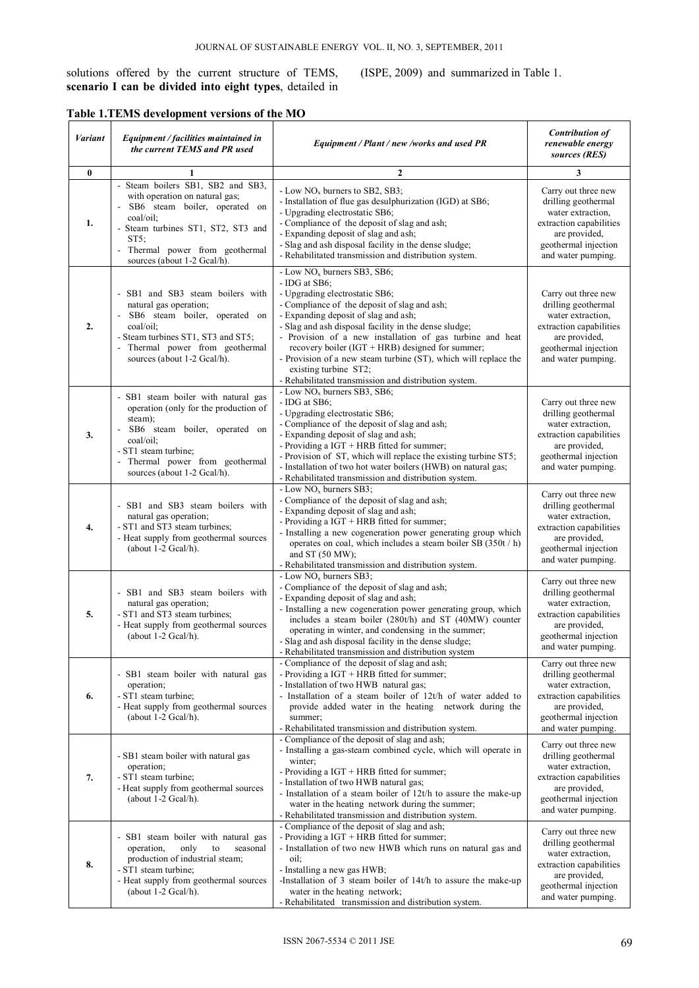solutions offered by the current structure of TEMS, **scenario I can be divided into eight types**, detailed in (ISPE, 2009) and summarized in Table 1.

|  |  | Table 1.TEMS development versions of the MO |  |
|--|--|---------------------------------------------|--|
|  |  |                                             |  |

| Variant          | Equipment / facilities maintained in<br>the current TEMS and PR used                                                                                                                                                               | Equipment / Plant / new /works and used PR                                                                                                                                                                                                                                                                                                                                                                                                                                                                | <b>Contribution of</b><br>renewable energy<br>sources (RES)                                                                                               |
|------------------|------------------------------------------------------------------------------------------------------------------------------------------------------------------------------------------------------------------------------------|-----------------------------------------------------------------------------------------------------------------------------------------------------------------------------------------------------------------------------------------------------------------------------------------------------------------------------------------------------------------------------------------------------------------------------------------------------------------------------------------------------------|-----------------------------------------------------------------------------------------------------------------------------------------------------------|
| $\bf{0}$         | 1                                                                                                                                                                                                                                  | $\overline{2}$                                                                                                                                                                                                                                                                                                                                                                                                                                                                                            | 3                                                                                                                                                         |
| 1.               | - Steam boilers SB1, SB2 and SB3,<br>with operation on natural gas;<br>SB6 steam boiler, operated on<br>coal/oil:<br>- Steam turbines ST1, ST2, ST3 and<br>$ST5$ :<br>Thermal power from geothermal<br>sources (about 1-2 Gcal/h). | - Low NO <sub>x</sub> burners to SB2, SB3;<br>- Installation of flue gas desulphurization (IGD) at SB6;<br>- Upgrading electrostatic SB6;<br>- Compliance of the deposit of slag and ash;<br>- Expanding deposit of slag and ash;<br>- Slag and ash disposal facility in the dense sludge;<br>- Rehabilitated transmission and distribution system.                                                                                                                                                       | Carry out three new<br>drilling geothermal<br>water extraction.<br>extraction capabilities<br>are provided,<br>geothermal injection<br>and water pumping. |
| $\overline{2}$ . | SB1 and SB3 steam boilers with<br>natural gas operation;<br>- SB6 steam boiler, operated on<br>coal/oil:<br>- Steam turbines ST1, ST3 and ST5;<br>Thermal power from geothermal<br>sources (about 1-2 Gcal/h).                     | - Low $NOx$ burners SB3, SB6;<br>- IDG at SB6;<br>- Upgrading electrostatic SB6;<br>- Compliance of the deposit of slag and ash;<br>- Expanding deposit of slag and ash;<br>- Slag and ash disposal facility in the dense sludge;<br>- Provision of a new installation of gas turbine and heat<br>recovery boiler $(IGT + HRB)$ designed for summer;<br>- Provision of a new steam turbine (ST), which will replace the<br>existing turbine ST2;<br>- Rehabilitated transmission and distribution system. | Carry out three new<br>drilling geothermal<br>water extraction,<br>extraction capabilities<br>are provided,<br>geothermal injection<br>and water pumping. |
| 3.               | - SB1 steam boiler with natural gas<br>operation (only for the production of<br>steam);<br>SB6 steam boiler, operated on<br>coal/oil:<br>- ST1 steam turbine;<br>Thermal power from geothermal<br>sources (about 1-2 Gcal/h).      | - Low $NOx$ burners SB3, SB6;<br>- IDG at SB6:<br>- Upgrading electrostatic SB6;<br>- Compliance of the deposit of slag and ash;<br>- Expanding deposit of slag and ash;<br>- Providing a $IGT$ + HRB fitted for summer;<br>- Provision of ST, which will replace the existing turbine ST5;<br>- Installation of two hot water boilers (HWB) on natural gas;<br>- Rehabilitated transmission and distribution system.                                                                                     | Carry out three new<br>drilling geothermal<br>water extraction.<br>extraction capabilities<br>are provided,<br>geothermal injection<br>and water pumping. |
| 4.               | - SB1 and SB3 steam boilers with<br>natural gas operation;<br>- ST1 and ST3 steam turbines;<br>- Heat supply from geothermal sources<br>(about $1-2$ Gcal/h).                                                                      | - Low $NOx$ burners SB3;<br>- Compliance of the deposit of slag and ash;<br>- Expanding deposit of slag and ash;<br>- Providing a IGT + HRB fitted for summer;<br>- Installing a new cogeneration power generating group which<br>operates on coal, which includes a steam boiler SB (350t / h)<br>and ST $(50 MW)$ ;<br>- Rehabilitated transmission and distribution system.                                                                                                                            | Carry out three new<br>drilling geothermal<br>water extraction,<br>extraction capabilities<br>are provided,<br>geothermal injection<br>and water pumping. |
| 5.               | - SB1 and SB3 steam boilers with<br>natural gas operation;<br>- ST1 and ST3 steam turbines;<br>- Heat supply from geothermal sources<br>(about $1-2$ Gcal/h).                                                                      | - Low NO <sub>x</sub> burners SB3;<br>- Compliance of the deposit of slag and ash;<br>- Expanding deposit of slag and ash;<br>- Installing a new cogeneration power generating group, which<br>includes a steam boiler (280t/h) and ST (40MW) counter<br>operating in winter, and condensing in the summer;<br>- Slag and ash disposal facility in the dense sludge;<br>- Rehabilitated transmission and distribution system                                                                              | Carry out three new<br>drilling geothermal<br>water extraction,<br>extraction capabilities<br>are provided,<br>geothermal injection<br>and water pumping. |
| 6.               | - SB1 steam boiler with natural gas<br>operation;<br>- ST1 steam turbine;<br>- Heat supply from geothermal sources<br>(about $1-2$ Gcal/h).                                                                                        | - Compliance of the deposit of slag and ash;<br>- Providing a IGT + HRB fitted for summer;<br>- Installation of two HWB natural gas;<br>- Installation of a steam boiler of 12t/h of water added to<br>provide added water in the heating network during the<br>summer;<br>- Rehabilitated transmission and distribution system.                                                                                                                                                                          | Carry out three new<br>drilling geothermal<br>water extraction,<br>extraction capabilities<br>are provided,<br>geothermal injection<br>and water pumping. |
| 7.               | - SB1 steam boiler with natural gas<br>operation;<br>- ST1 steam turbine;<br>- Heat supply from geothermal sources<br>(about $1-2$ Gcal/h).                                                                                        | - Compliance of the deposit of slag and ash;<br>- Installing a gas-steam combined cycle, which will operate in<br>winter;<br>- Providing a $IGT$ + HRB fitted for summer;<br>- Installation of two HWB natural gas;<br>- Installation of a steam boiler of $12t/h$ to assure the make-up<br>water in the heating network during the summer;<br>- Rehabilitated transmission and distribution system.                                                                                                      | Carry out three new<br>drilling geothermal<br>water extraction,<br>extraction capabilities<br>are provided,<br>geothermal injection<br>and water pumping. |
| 8.               | - SB1 steam boiler with natural gas<br>operation,<br>only<br>to<br>seasonal<br>production of industrial steam;<br>- ST1 steam turbine;<br>- Heat supply from geothermal sources<br>(about $1-2$ Gcal/h).                           | - Compliance of the deposit of slag and ash;<br>- Providing a $IGT$ + HRB fitted for summer;<br>- Installation of two new HWB which runs on natural gas and<br>oil:<br>- Installing a new gas HWB;<br>-Installation of 3 steam boiler of 14t/h to assure the make-up<br>water in the heating network;<br>- Rehabilitated transmission and distribution system.                                                                                                                                            | Carry out three new<br>drilling geothermal<br>water extraction,<br>extraction capabilities<br>are provided,<br>geothermal injection<br>and water pumping. |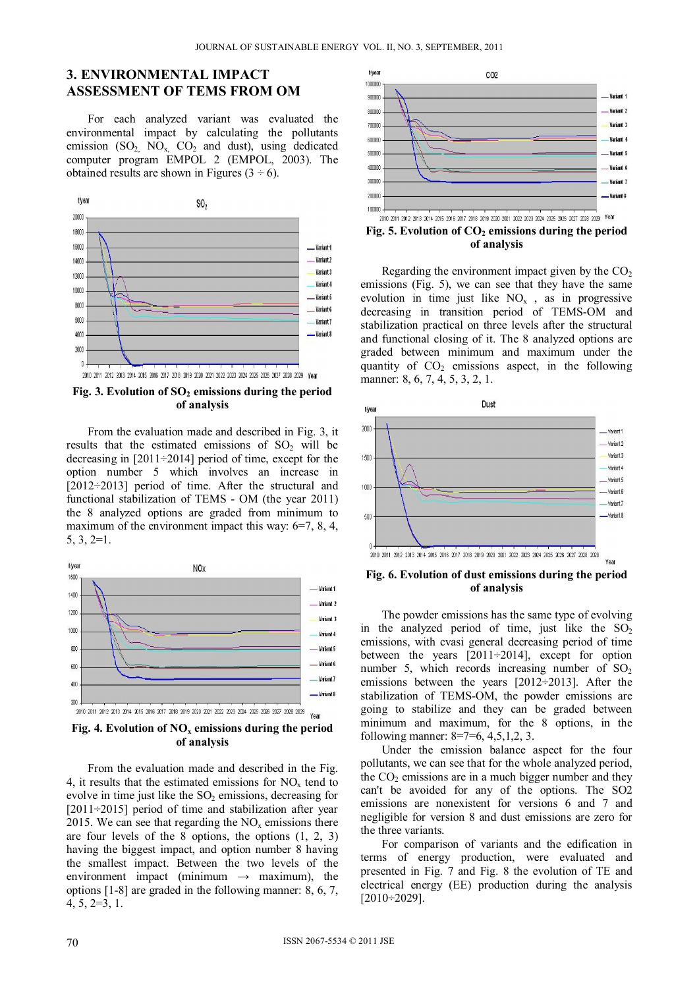## **3. ENVIRONMENTAL IMPACT ASSESSMENT OF TEMS FROM OM**

For each analyzed variant was evaluated the environmental impact by calculating the pollutants emission  $(SO_2, NO_x, CO_2, and dust)$ , using dedicated computer program EMPOL 2 (EMPOL, 2003). The obtained results are shown in Figures  $(3 \div 6)$ .



Fig. 3. Evolution of SO<sub>2</sub> emissions during the period **of analysis** 

From the evaluation made and described in Fig. 3, it results that the estimated emissions of  $SO<sub>2</sub>$  will be decreasing in [2011÷2014] period of time, except for the option number 5 which involves an increase in [2012÷2013] period of time. After the structural and functional stabilization of TEMS - OM (the year 2011) the 8 analyzed options are graded from minimum to maximum of the environment impact this way:  $6=7, 8, 4$ , 5, 3, 2=1.





From the evaluation made and described in the Fig. 4, it results that the estimated emissions for  $NO<sub>x</sub>$  tend to evolve in time just like the  $SO<sub>2</sub>$  emissions, decreasing for [2011÷2015] period of time and stabilization after year 2015. We can see that regarding the  $NO<sub>x</sub>$  emissions there are four levels of the 8 options, the options (1, 2, 3) having the biggest impact, and option number 8 having the smallest impact. Between the two levels of the environment impact (minimum  $\rightarrow$  maximum), the options [1-8] are graded in the following manner: 8, 6, 7, 4, 5, 2=3, 1.



Fig. 5. Evolution of CO<sub>2</sub> emissions during the period **of analysis** 

Regarding the environment impact given by the  $CO<sub>2</sub>$ emissions (Fig. 5), we can see that they have the same evolution in time just like  $NO<sub>x</sub>$ , as in progressive decreasing in transition period of TEMS-OM and stabilization practical on three levels after the structural and functional closing of it. The 8 analyzed options are graded between minimum and maximum under the quantity of  $CO<sub>2</sub>$  emissions aspect, in the following manner: 8, 6, 7, 4, 5, 3, 2, 1.



**Fig. 6. Evolution of dust emissions during the period of analysis** 

The powder emissions has the same type of evolving in the analyzed period of time, just like the  $SO<sub>2</sub>$ emissions, with cvasi general decreasing period of time between the years [2011÷2014], except for option number 5, which records increasing number of  $SO<sub>2</sub>$ emissions between the years [2012÷2013]. After the stabilization of TEMS-OM, the powder emissions are going to stabilize and they can be graded between minimum and maximum, for the 8 options, in the following manner: 8=7=6, 4,5,1,2, 3.

Under the emission balance aspect for the four pollutants, we can see that for the whole analyzed period, the  $CO<sub>2</sub>$  emissions are in a much bigger number and they can't be avoided for any of the options. The SO2 emissions are nonexistent for versions 6 and 7 and negligible for version 8 and dust emissions are zero for the three variants.

For comparison of variants and the edification in terms of energy production, were evaluated and presented in Fig. 7 and Fig. 8 the evolution of TE and electrical energy (EE) production during the analysis [2010÷2029].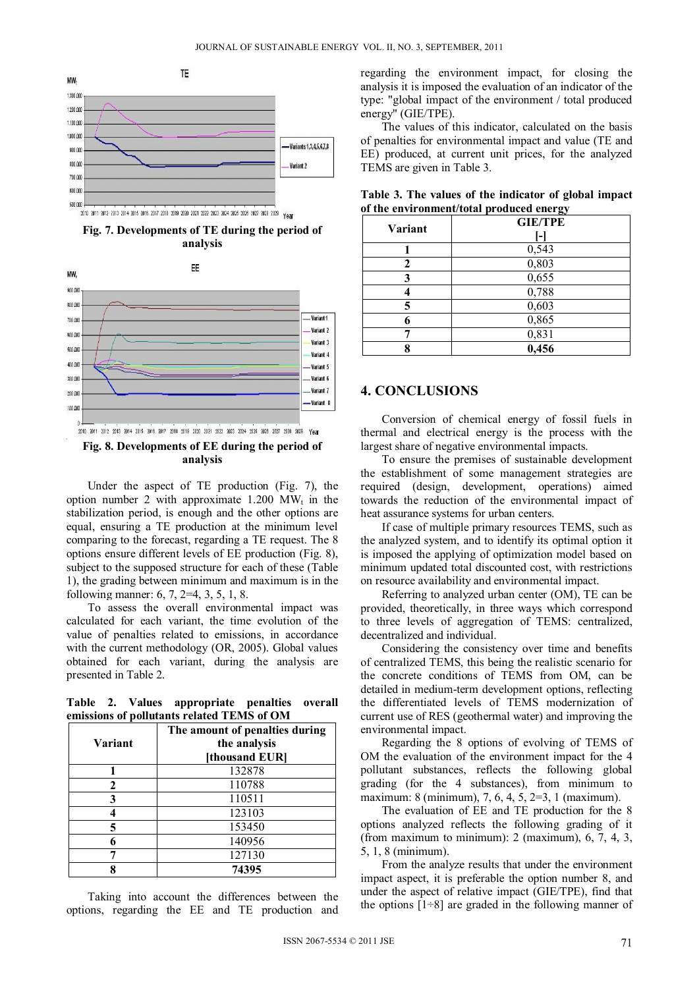

2010 2011 2012 2013 2014 2015 2016 2017 2018 2019 2020 2021 2022 2023 2024 2025 2028 2027 2028 2029 Vear





Under the aspect of TE production (Fig. 7), the option number 2 with approximate 1.200 MW<sub>t</sub> in the stabilization period, is enough and the other options are equal, ensuring a TE production at the minimum level comparing to the forecast, regarding a TE request. The 8 options ensure different levels of EE production (Fig. 8), subject to the supposed structure for each of these (Table 1), the grading between minimum and maximum is in the following manner: 6, 7, 2=4, 3, 5, 1, 8.

To assess the overall environmental impact was calculated for each variant, the time evolution of the value of penalties related to emissions, in accordance with the current methodology (OR, 2005). Global values obtained for each variant, during the analysis are presented in Table 2.

**Table 2. Values appropriate penalties overall emissions of pollutants related TEMS of OM** 

| Variant | The amount of penalties during<br>the analysis<br>[thousand EUR] |
|---------|------------------------------------------------------------------|
|         | 132878                                                           |
|         | 110788                                                           |
| 3       | 110511                                                           |
|         | 123103                                                           |
| 5       | 153450                                                           |
| 6       | 140956                                                           |
|         | 127130                                                           |
|         | 74395                                                            |

Taking into account the differences between the options, regarding the EE and TE production and regarding the environment impact, for closing the analysis it is imposed the evaluation of an indicator of the type: "global impact of the environment / total produced energy" (GIE/TPE).

The values of this indicator, calculated on the basis of penalties for environmental impact and value (TE and EE) produced, at current unit prices, for the analyzed TEMS are given in Table 3.

| Variant | $\tilde{}$<br><b>GIE/TPE</b> |
|---------|------------------------------|
|         |                              |
|         | 0,543                        |
|         | 0,803                        |
|         | 0,655                        |
|         | 0,788                        |
|         | 0,603                        |
|         | 0,865                        |
|         | 0,831                        |
|         | 0,456                        |

**Table 3. The values of the indicator of global impact of the environment/total produced energy** 

### **4. CONCLUSIONS**

Conversion of chemical energy of fossil fuels in thermal and electrical energy is the process with the largest share of negative environmental impacts.

To ensure the premises of sustainable development the establishment of some management strategies are required (design, development, operations) aimed towards the reduction of the environmental impact of heat assurance systems for urban centers.

If case of multiple primary resources TEMS, such as the analyzed system, and to identify its optimal option it is imposed the applying of optimization model based on minimum updated total discounted cost, with restrictions on resource availability and environmental impact.

Referring to analyzed urban center (OM), TE can be provided, theoretically, in three ways which correspond to three levels of aggregation of TEMS: centralized, decentralized and individual.

Considering the consistency over time and benefits of centralized TEMS, this being the realistic scenario for the concrete conditions of TEMS from OM, can be detailed in medium-term development options, reflecting the differentiated levels of TEMS modernization of current use of RES (geothermal water) and improving the environmental impact.

Regarding the 8 options of evolving of TEMS of OM the evaluation of the environment impact for the 4 pollutant substances, reflects the following global grading (for the 4 substances), from minimum to maximum: 8 (minimum), 7, 6, 4, 5, 2=3, 1 (maximum).

The evaluation of EE and TE production for the 8 options analyzed reflects the following grading of it (from maximum to minimum): 2 (maximum), 6, 7, 4, 3, 5, 1, 8 (minimum).

From the analyze results that under the environment impact aspect, it is preferable the option number 8, and under the aspect of relative impact (GIE/TPE), find that the options  $[1\div 8]$  are graded in the following manner of